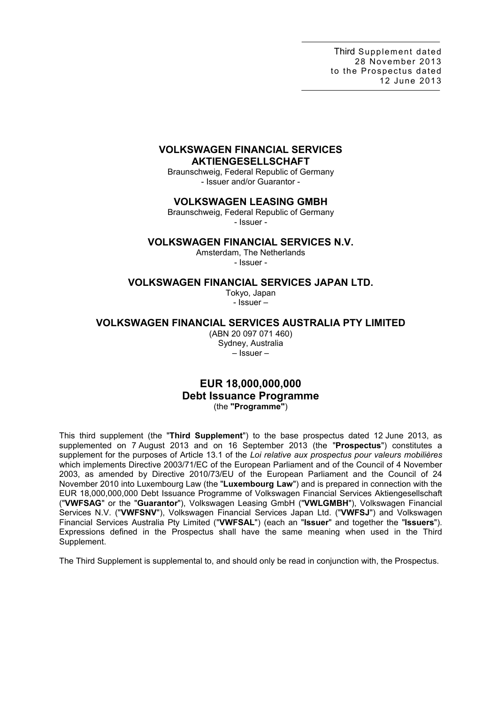Third Supplement dated 28 November 2013 to the Prospectus dated 12 June 2013

# **VOLKSWAGEN FINANCIAL SERVICES AKTIENGESELLSCHAFT**

Braunschweig, Federal Republic of Germany - Issuer and/or Guarantor -

# **VOLKSWAGEN LEASING GMBH**

Braunschweig, Federal Republic of Germany - Issuer -

## **VOLKSWAGEN FINANCIAL SERVICES N.V.**

Amsterdam, The Netherlands - Issuer -

# **VOLKSWAGEN FINANCIAL SERVICES JAPAN LTD.**

Tokyo, Japan - Issuer –

# **VOLKSWAGEN FINANCIAL SERVICES AUSTRALIA PTY LIMITED**

(ABN 20 097 071 460) Sydney, Australia – Issuer –

# **EUR 18,000,000,000 Debt Issuance Programme** (the **"Programme"**)

This third supplement (the "**Third Supplement**") to the base prospectus dated 12 June 2013, as supplemented on 7 August 2013 and on 16 September 2013 (the "**Prospectus**") constitutes a supplement for the purposes of Article 13.1 of the *Loi relative aux prospectus pour valeurs mobilières*  which implements Directive 2003/71/EC of the European Parliament and of the Council of 4 November 2003, as amended by Directive 2010/73/EU of the European Parliament and the Council of 24 November 2010 into Luxembourg Law (the "**Luxembourg Law**") and is prepared in connection with the EUR 18,000,000,000 Debt Issuance Programme of Volkswagen Financial Services Aktiengesellschaft ("**VWFSAG**" or the "**Guarantor**"), Volkswagen Leasing GmbH ("**VWLGMBH**"), Volkswagen Financial Services N.V. ("**VWFSNV**"), Volkswagen Financial Services Japan Ltd. ("**VWFSJ**") and Volkswagen Financial Services Australia Pty Limited ("**VWFSAL**") (each an "**Issuer**" and together the "**Issuers**"). Expressions defined in the Prospectus shall have the same meaning when used in the Third Supplement.

The Third Supplement is supplemental to, and should only be read in conjunction with, the Prospectus.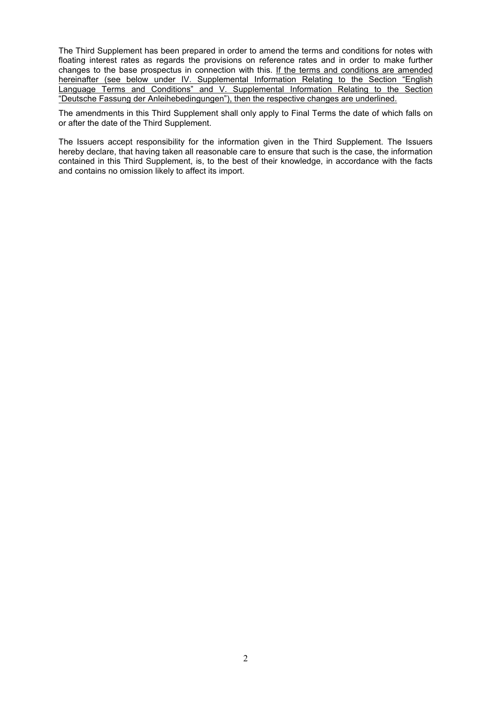The Third Supplement has been prepared in order to amend the terms and conditions for notes with floating interest rates as regards the provisions on reference rates and in order to make further changes to the base prospectus in connection with this. If the terms and conditions are amended hereinafter (see below under IV. Supplemental Information Relating to the Section "English Language Terms and Conditions" and V. Supplemental Information Relating to the Section "Deutsche Fassung der Anleihebedingungen"), then the respective changes are underlined.

The amendments in this Third Supplement shall only apply to Final Terms the date of which falls on or after the date of the Third Supplement.

The Issuers accept responsibility for the information given in the Third Supplement. The Issuers hereby declare, that having taken all reasonable care to ensure that such is the case, the information contained in this Third Supplement, is, to the best of their knowledge, in accordance with the facts and contains no omission likely to affect its import.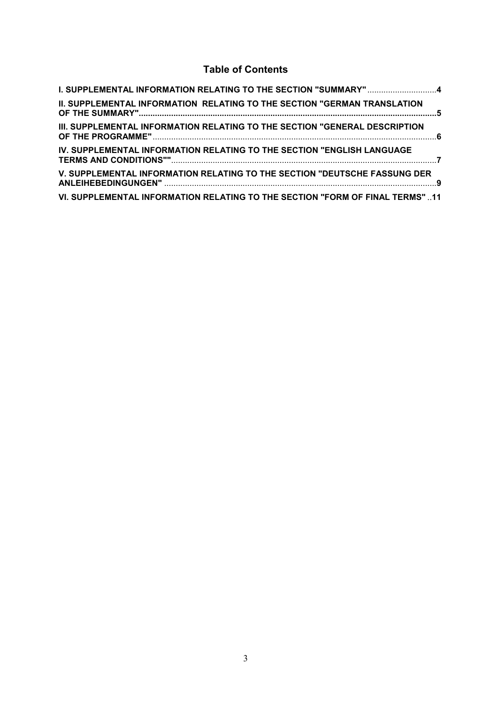# **Table of Contents**

| I. SUPPLEMENTAL INFORMATION RELATING TO THE SECTION "SUMMARY"4               |  |
|------------------------------------------------------------------------------|--|
| II. SUPPLEMENTAL INFORMATION RELATING TO THE SECTION "GERMAN TRANSLATION     |  |
| III. SUPPLEMENTAL INFORMATION RELATING TO THE SECTION "GENERAL DESCRIPTION   |  |
| IV. SUPPLEMENTAL INFORMATION RELATING TO THE SECTION "ENGLISH LANGUAGE       |  |
| V. SUPPLEMENTAL INFORMATION RELATING TO THE SECTION "DEUTSCHE FASSUNG DER    |  |
| VI. SUPPLEMENTAL INFORMATION RELATING TO THE SECTION "FORM OF FINAL TERMS"11 |  |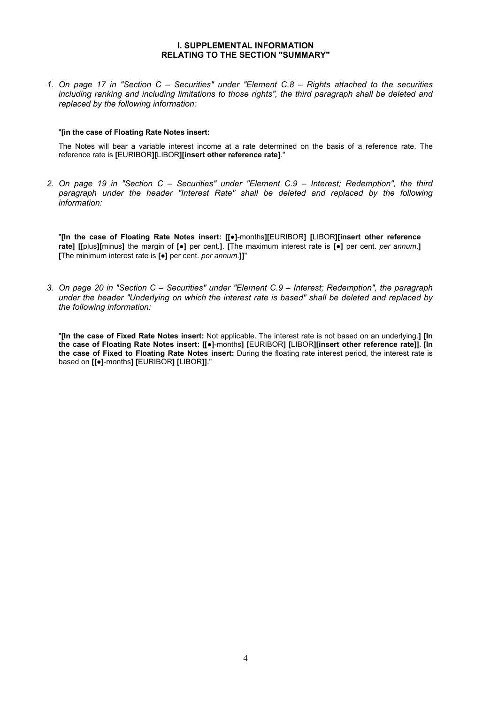## <span id="page-3-0"></span>**I. SUPPLEMENTAL INFORMATION RELATING TO THE SECTION "SUMMARY"**

*1. On page 17 in "Section C – Securities" under "Element C.8 – Rights attached to the securities including ranking and including limitations to those rights", the third paragraph shall be deleted and replaced by the following information:*

#### "**[in the case of Floating Rate Notes insert:**

The Notes will bear a variable interest income at a rate determined on the basis of a reference rate. The reference rate is **[**EURIBOR**][**LIBOR**][insert other reference rate]***.*"

*2. On page 19 in "Section C – Securities" under "Element C.9 – Interest; Redemption", the third paragraph under the header "Interest Rate" shall be deleted and replaced by the following information:*

"**[In the case of Floating Rate Notes insert: [[**●**]**-months**][**EURIBOR**] [**LIBOR**][insert other reference rate] [[**plus**][**minus**]** the margin of **[●]** per cent.**]**. **[**The maximum interest rate is **[●]** per cent. *per annum*.**] [**The minimum interest rate is **[●]** per cent. *per annum*.**]]**"

*3. On page 20 in "Section C – Securities" under "Element C.9 – Interest; Redemption", the paragraph under the header "Underlying on which the interest rate is based" shall be deleted and replaced by the following information:*

"**[In the case of Fixed Rate Notes insert:** Not applicable. The interest rate is not based on an underlying.**] [In the case of Floating Rate Notes insert: [[**●**]**-months**] [**EURIBOR**] [**LIBOR**][insert other reference rate]]**. **[In the case of Fixed to Floating Rate Notes insert:** During the floating rate interest period, the interest rate is based on **[[**●**]**-months**] [**EURIBOR**] [**LIBOR**]]**."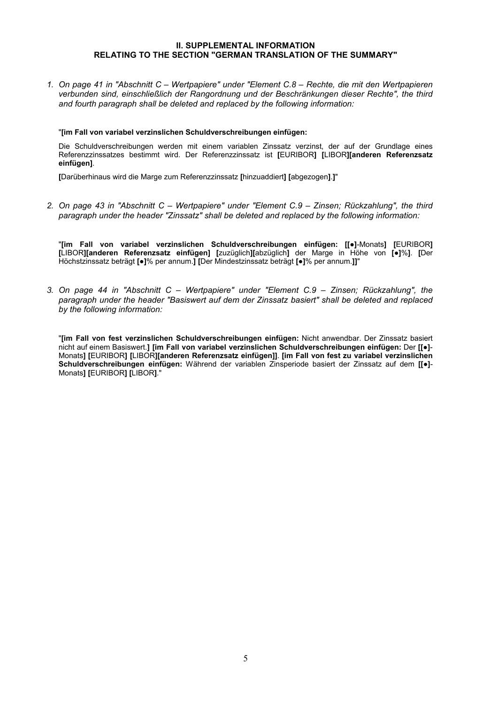## **II. SUPPLEMENTAL INFORMATION RELATING TO THE SECTION "GERMAN TRANSLATION OF THE SUMMARY"**

*1. On page 41 in "Abschnitt C – Wertpapiere" under "Element C.8 – Rechte, die mit den Wertpapieren verbunden sind, einschließlich der Rangordnung und der Beschränkungen dieser Rechte", the third and fourth paragraph shall be deleted and replaced by the following information:*

#### "**[im Fall von variabel verzinslichen Schuldverschreibungen einfügen:**

Die Schuldverschreibungen werden mit einem variablen Zinssatz verzinst, der auf der Grundlage eines Referenzzinssatzes bestimmt wird. Der Referenzzinssatz ist **[**EURIBOR**] [**LIBOR**][anderen Referenzsatz einfügen]**.

**[**Darüberhinaus wird die Marge zum Referenzzinssatz **[**hinzuaddiert**] [**abgezogen**]**.**]**"

*2. On page 43 in "Abschnitt C – Wertpapiere" under "Element C.9 – Zinsen; Rückzahlung", the third paragraph under the header "Zinssatz" shall be deleted and replaced by the following information:*

"**[im Fall von variabel verzinslichen Schuldverschreibungen einfügen: [[●]**-Monats**] [**EURIBOR**] [**LIBOR**][anderen Referenzsatz einfügen] [**zuzüglich**][**abzüglich**]** der Marge in Höhe von **[●]**%**]**. **[**Der Höchstzinssatz beträgt **[●]**% per annum.**] [**Der Mindestzinssatz beträgt **[●]**% per annum.**]]**"

*3. On page 44 in "Abschnitt C – Wertpapiere" under "Element C.9 – Zinsen; Rückzahlung", the paragraph under the header "Basiswert auf dem der Zinssatz basiert" shall be deleted and replaced by the following information:*

"**[im Fall von fest verzinslichen Schuldverschreibungen einfügen:** Nicht anwendbar. Der Zinssatz basiert nicht auf einem Basiswert.**] [im Fall von variabel verzinslichen Schuldverschreibungen einfügen:** Der **[[●]**- Monats**] [**EURIBOR**] [**LIBOR**][anderen Referenzsatz einfügen]]**. **[im Fall von fest zu variabel verzinslichen Schuldverschreibungen einfügen:** Während der variablen Zinsperiode basiert der Zinssatz auf dem **[[●]**- Monats**] [**EURIBOR**] [**LIBOR**]**."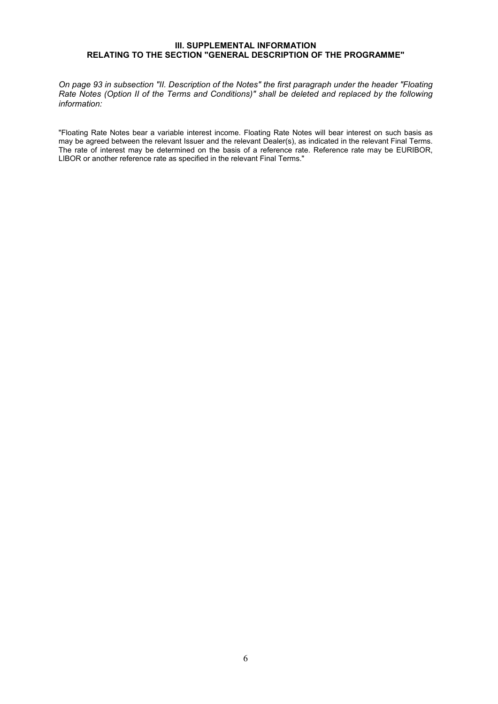## **III. SUPPLEMENTAL INFORMATION RELATING TO THE SECTION "GENERAL DESCRIPTION OF THE PROGRAMME"**

*On page 93 in subsection "II. Description of the Notes" the first paragraph under the header "Floating Rate Notes (Option II of the Terms and Conditions)" shall be deleted and replaced by the following information:*

"Floating Rate Notes bear a variable interest income. Floating Rate Notes will bear interest on such basis as may be agreed between the relevant Issuer and the relevant Dealer(s), as indicated in the relevant Final Terms. The rate of interest may be determined on the basis of a reference rate. Reference rate may be EURIBOR, LIBOR or another reference rate as specified in the relevant Final Terms."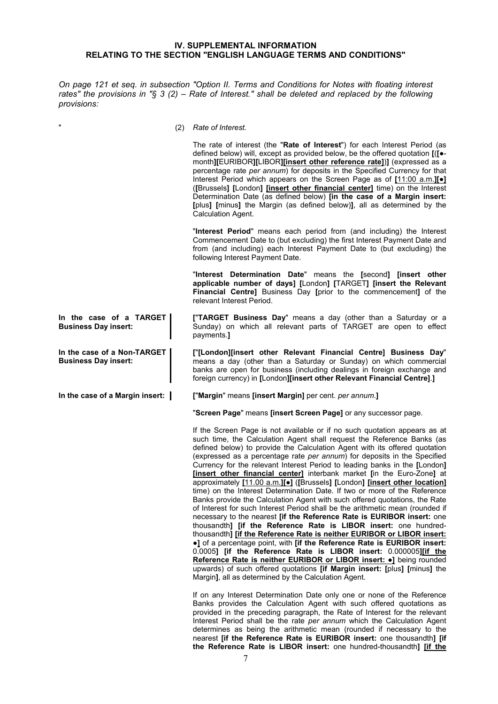## **IV. SUPPLEMENTAL INFORMATION RELATING TO THE SECTION "ENGLISH LANGUAGE TERMS AND CONDITIONS"**

*On page 121 et seq. in subsection "Option II. Terms and Conditions for Notes with floating interest rates" the provisions in "§ 3 (2) – Rate of Interest." shall be deleted and replaced by the following provisions:*

- " (2) *Rate of Interest.* The rate of interest (the "**Rate of Interest**") for each Interest Period (as defined below) will, except as provided below, be the offered quotation **[**(**[**● month**][**EURIBOR**][**LIBOR**][insert other reference rate]**)**]** (expressed as a percentage rate *per annum*) for deposits in the Specified Currency for that Interest Period which appears on the Screen Page as of **[**11:00 a.m.**][**●**]** (**[**Brussels**] [**London**] [insert other financial center]** time) on the Interest Determination Date (as defined below) **[in the case of a Margin insert: [**plus**] [**minus**]** the Margin (as defined below)**]**, all as determined by the Calculation Agent. "**Interest Period**" means each period from (and including) the Interest Commencement Date to (but excluding) the first Interest Payment Date and from (and including) each Interest Payment Date to (but excluding) the following Interest Payment Date. "**Interest Determination Date**" means the **[**second**] [insert other applicable number of days] [**London**] [**TARGET**] [insert the Relevant Financial Centre]** Business Day **[**prior to the commencement**]** of the relevant Interest Period. **In the case of a TARGET Business Day insert: [**"**TARGET Business Day**" means a day (other than a Saturday or a Sunday) on which all relevant parts of TARGET are open to effect payments.**]**
	- **[**"**[London][insert other Relevant Financial Centre] Business Day**" means a day (other than a Saturday or Sunday) on which commercial banks are open for business (including dealings in foreign exchange and foreign currency) in **[**London**][insert other Relevant Financial Centre]**.**]**

**In the case of a Margin insert: [**"**Margin**" means **[insert Margin]** per cent. *per annum*.**]**

"**Screen Page**" means **[insert Screen Page]** or any successor page.

If the Screen Page is not available or if no such quotation appears as at such time, the Calculation Agent shall request the Reference Banks (as defined below) to provide the Calculation Agent with its offered quotation (expressed as a percentage rate *per annum*) for deposits in the Specified Currency for the relevant Interest Period to leading banks in the **[**London**] [insert other financial center]** interbank market **[**in the Euro-Zone**]** at approximately **[**11.00 a.m.**][**●**]** (**[**Brussels**] [**London**] [insert other location]** time) on the Interest Determination Date. If two or more of the Reference Banks provide the Calculation Agent with such offered quotations, the Rate of Interest for such Interest Period shall be the arithmetic mean (rounded if necessary to the nearest **[if the Reference Rate is EURIBOR insert:** one thousandth**] [if the Reference Rate is LIBOR insert:** one hundredthousandth**] [if the Reference Rate is neither EURIBOR or LIBOR insert:**  ●**]** of a percentage point, with **[if the Reference Rate is EURIBOR insert:**  0.0005**] [if the Reference Rate is LIBOR insert:** 0.000005**][if the Reference Rate is neither EURIBOR or LIBOR insert:** ●**]** being rounded upwards) of such offered quotations **[if Margin insert: [**plus**] [**minus**]** the Margin**]**, all as determined by the Calculation Agent.

If on any Interest Determination Date only one or none of the Reference Banks provides the Calculation Agent with such offered quotations as provided in the preceding paragraph, the Rate of Interest for the relevant Interest Period shall be the rate *per annum* which the Calculation Agent determines as being the arithmetic mean (rounded if necessary to the nearest **[if the Reference Rate is EURIBOR insert:** one thousandth**] [if the Reference Rate is LIBOR insert:** one hundred-thousandth**] [if the** 

**In the case of a Non-TARGET** 

**Business Day insert:**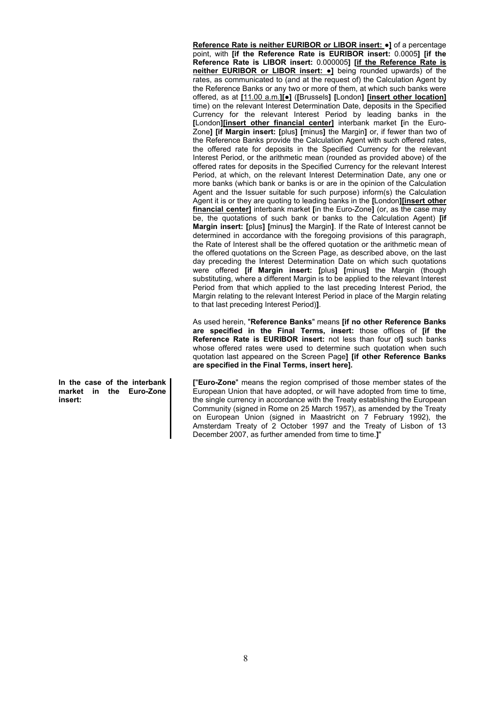**Reference Rate is neither EURIBOR or LIBOR insert:** ●**]** of a percentage point, with **[if the Reference Rate is EURIBOR insert:** 0.0005**] [if the Reference Rate is LIBOR insert:** 0.000005**] [if the Reference Rate is neither EURIBOR or LIBOR insert:** ●**]** being rounded upwards) of the rates, as communicated to (and at the request of) the Calculation Agent by the Reference Banks or any two or more of them, at which such banks were offered, as at **[**11.00 a.m.**][**●**]** (**[**Brussels**] [**London**] [insert other location]** time) on the relevant Interest Determination Date, deposits in the Specified Currency for the relevant Interest Period by leading banks in the **[**London**][insert other financial center]** interbank market **[**in the Euro-Zone**] [if Margin insert: [**plus**] [**minus**]** the Margin**]** or, if fewer than two of the Reference Banks provide the Calculation Agent with such offered rates, the offered rate for deposits in the Specified Currency for the relevant Interest Period, or the arithmetic mean (rounded as provided above) of the offered rates for deposits in the Specified Currency for the relevant Interest Period, at which, on the relevant Interest Determination Date, any one or more banks (which bank or banks is or are in the opinion of the Calculation Agent and the Issuer suitable for such purpose) inform(s) the Calculation Agent it is or they are quoting to leading banks in the **[**London**][insert other financial center]** interbank market **[**in the Euro-Zone**]** (or, as the case may be, the quotations of such bank or banks to the Calculation Agent) **[if Margin insert: [**plus**] [**minus**]** the Margin**]**. If the Rate of Interest cannot be determined in accordance with the foregoing provisions of this paragraph, the Rate of Interest shall be the offered quotation or the arithmetic mean of the offered quotations on the Screen Page, as described above, on the last day preceding the Interest Determination Date on which such quotations were offered **[if Margin insert: [**plus**] [**minus**]** the Margin (though substituting, where a different Margin is to be applied to the relevant Interest Period from that which applied to the last preceding Interest Period, the Margin relating to the relevant Interest Period in place of the Margin relating to that last preceding Interest Period)**]**.

As used herein, "**Reference Banks**" means **[if no other Reference Banks are specified in the Final Terms, insert:** those offices of **[if the Reference Rate is EURIBOR insert:** not less than four of**]** such banks whose offered rates were used to determine such quotation when such quotation last appeared on the Screen Page**] [if other Reference Banks are specified in the Final Terms, insert here].**

**[**"**Euro-Zone**" means the region comprised of those member states of the European Union that have adopted, or will have adopted from time to time, the single currency in accordance with the Treaty establishing the European Community (signed in Rome on 25 March 1957), as amended by the Treaty on European Union (signed in Maastricht on 7 February 1992), the Amsterdam Treaty of 2 October 1997 and the Treaty of Lisbon of 13 December 2007, as further amended from time to time.**]**"

**In the case of the interbank market in the Euro-Zone insert:**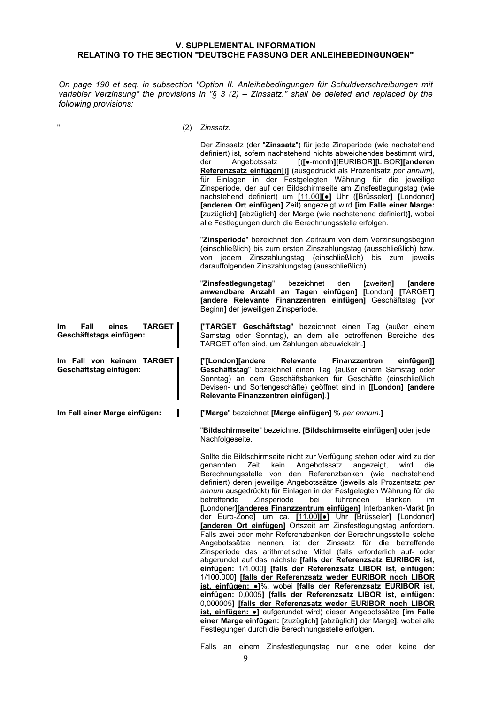## **V. SUPPLEMENTAL INFORMATION RELATING TO THE SECTION "DEUTSCHE FASSUNG DER ANLEIHEBEDINGUNGEN"**

*On page 190 et seq. in subsection "Option II. Anleihebedingungen für Schuldverschreibungen mit variabler Verzinsung" the provisions in "§ 3 (2) – Zinssatz." shall be deleted and replaced by the following provisions:*

" (2) *Zinssatz*.

Der Zinssatz (der "**Zinssatz**") für jede Zinsperiode (wie nachstehend definiert) ist, sofern nachstehend nichts abweichendes bestimmt wird, der Angebotssatz **[**(**[**●-month**][**EURIBOR**][**LIBOR**][anderen Referenzsatz einfügen]**)**]** (ausgedrückt als Prozentsatz *per annum*), für Einlagen in der Festgelegten Währung für die jeweilige Zinsperiode, der auf der Bildschirmseite am Zinsfestlegungstag (wie nachstehend definiert) um **[**11.00**][**●**]** Uhr (**[**Brüsseler**] [**Londoner**] [anderen Ort einfügen]** Zeit) angezeigt wird **[im Falle einer Marge: [**zuzüglich**] [**abzüglich**]** der Marge (wie nachstehend definiert)**]**, wobei alle Festlegungen durch die Berechnungsstelle erfolgen. "**Zinsperiode**" bezeichnet den Zeitraum von dem Verzinsungsbeginn (einschließlich) bis zum ersten Zinszahlungstag (ausschließlich) bzw. von jedem Zinszahlungstag (einschließlich) bis zum jeweils darauffolgenden Zinszahlungstag (ausschließlich). "**Zinsfestlegungstag**" bezeichnet den **[**zweiten**] [andere anwendbare Anzahl an Tagen einfügen] [**London**] [**TARGET**] [andere Relevante Finanzzentren einfügen]** Geschäftstag **[**vor Beginn**]** der jeweiligen Zinsperiode. **Im Fall eines TARGET Geschäftstags einfügen: [**"**TARGET Geschäftstag**" bezeichnet einen Tag (außer einem Samstag oder Sonntag), an dem alle betroffenen Bereiche des TARGET offen sind, um Zahlungen abzuwickeln.**] Im Fall von keinem TARGET Geschäftstag einfügen: [**"**[London][andere Relevante Finanzzentren einfügen]] Geschäftstag**" bezeichnet einen Tag (außer einem Samstag oder Sonntag) an dem Geschäftsbanken für Geschäfte (einschließlich Devisen- und Sortengeschäfte) geöffnet sind in **[[London] [andere Relevante Finanzzentren einfügen]**.**] Im Fall einer Marge einfügen: [**"**Marge**" bezeichnet **[Marge einfügen]** % *per annum.***]** "**Bildschirmseite**" bezeichnet **[Bildschirmseite einfügen]** oder jede Nachfolgeseite. Sollte die Bildschirmseite nicht zur Verfügung stehen oder wird zu der genannten Zeit kein Angebotssatz angezeigt, wird die Berechnungsstelle von den Referenzbanken (wie nachstehend definiert) deren jeweilige Angebotssätze (jeweils als Prozentsatz *per annum* ausgedrückt) für Einlagen in der Festgelegten Währung für die betreffende Zinsperiode bei führenden Banken im **[**Londoner**][anderes Finanzzentrum einfügen]** Interbanken-Markt **[**in der Euro-Zone**]** um ca. **[**11.00**][**●**]** Uhr **[**Brüsseler**] [**Londoner**] [anderen Ort einfügen]** Ortszeit am Zinsfestlegungstag anfordern.

Falls zwei oder mehr Referenzbanken der Berechnungsstelle solche Angebotssätze nennen, ist der Zinssatz für die betreffende Zinsperiode das arithmetische Mittel (falls erforderlich auf- oder abgerundet auf das nächste **[falls der Referenzsatz EURIBOR ist, einfügen:** 1/1.000**] [falls der Referenzsatz LIBOR ist, einfügen:** 1/100.000**] [falls der Referenzsatz weder EURIBOR noch LIBOR ist, einfügen:** ●**]**%, wobei **[falls der Referenzsatz EURIBOR ist, einfügen:** 0,0005**] [falls der Referenzsatz LIBOR ist, einfügen:**  0,000005**] [falls der Referenzsatz weder EURIBOR noch LIBOR ist, einfügen:** ●**]** aufgerundet wird) dieser Angebotssätze **[im Falle einer Marge einfügen: [**zuzüglich**] [**abzüglich**]** der Marge**]**, wobei alle Festlegungen durch die Berechnungsstelle erfolgen.

Falls an einem Zinsfestlegungstag nur eine oder keine der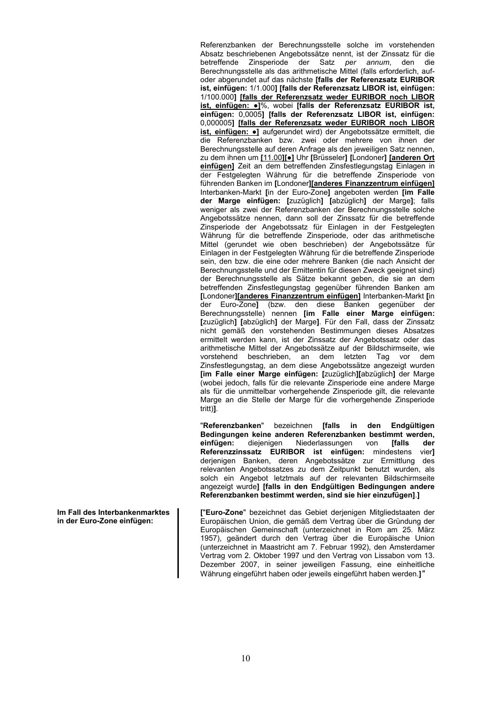Referenzbanken der Berechnungsstelle solche im vorstehenden Absatz beschriebenen Angebotssätze nennt, ist der Zinssatz für die betreffende Zinsperiode der Satz *per annum*, den die Berechnungsstelle als das arithmetische Mittel (falls erforderlich, aufoder abgerundet auf das nächste **[falls der Referenzsatz EURIBOR ist, einfügen:** 1/1.000**] [falls der Referenzsatz LIBOR ist, einfügen:** 1/100.000**] [falls der Referenzsatz weder EURIBOR noch LIBOR ist, einfügen:** ●**]**%, wobei **[falls der Referenzsatz EURIBOR ist, einfügen:** 0,0005**] [falls der Referenzsatz LIBOR ist, einfügen:**  0,000005**] [falls der Referenzsatz weder EURIBOR noch LIBOR ist, einfügen:** *●***]** aufgerundet wird) der Angebotssätze ermittelt, die die Referenzbanken bzw. zwei oder mehrere von ihnen der Berechnungsstelle auf deren Anfrage als den jeweiligen Satz nennen, zu dem ihnen um **[**11.00**][**●**]** Uhr **[**Brüsseler**] [**Londoner**] [anderen Ort einfügen]** Zeit an dem betreffenden Zinsfestlegungstag Einlagen in der Festgelegten Währung für die betreffende Zinsperiode von führenden Banken im **[**Londoner**][anderes Finanzzentrum einfügen]** Interbanken-Markt **[**in der Euro-Zone**]** angeboten werden **[im Falle der Marge einfügen: [**zuzüglich**] [**abzüglich**]** der Marge**]**; falls weniger als zwei der Referenzbanken der Berechnungsstelle solche Angebotssätze nennen, dann soll der Zinssatz für die betreffende Zinsperiode der Angebotssatz für Einlagen in der Festgelegten Währung für die betreffende Zinsperiode, oder das arithmetische Mittel (gerundet wie oben beschrieben) der Angebotssätze für Einlagen in der Festgelegten Währung für die betreffende Zinsperiode sein, den bzw. die eine oder mehrere Banken (die nach Ansicht der Berechnungsstelle und der Emittentin für diesen Zweck geeignet sind) der Berechnungsstelle als Sätze bekannt geben, die sie an dem betreffenden Zinsfestlegungstag gegenüber führenden Banken am **[**Londoner**][anderes Finanzzentrum einfügen]** Interbanken-Markt **[**in der Euro-Zone**]** (bzw. den diese Banken gegenüber der Berechnungsstelle) nennen **[im Falle einer Marge einfügen: [**zuzüglich**] [**abzüglich**]** der Marge**]**. Für den Fall, dass der Zinssatz nicht gemäß den vorstehenden Bestimmungen dieses Absatzes ermittelt werden kann, ist der Zinssatz der Angebotssatz oder das arithmetische Mittel der Angebotssätze auf der Bildschirmseite, wie vorstehend beschrieben, an dem letzten Tag vor dem Zinsfestlegungstag, an dem diese Angebotssätze angezeigt wurden **[im Falle einer Marge einfügen: [**zuzüglich**][**abzüglich**]** der Marge (wobei jedoch, falls für die relevante Zinsperiode eine andere Marge als für die unmittelbar vorhergehende Zinsperiode gilt, die relevante Marge an die Stelle der Marge für die vorhergehende Zinsperiode tritt)**]**.

"**Referenzbanken**" bezeichnen **[falls in den Endgültigen Bedingungen keine anderen Referenzbanken bestimmt werden, einfügen:** diejenigen Niederlassungen von **[falls der Referenzzinssatz EURIBOR ist einfügen:** mindestens vier**]** derjenigen Banken, deren Angebotssätze zur Ermittlung des relevanten Angebotssatzes zu dem Zeitpunkt benutzt wurden, als solch ein Angebot letztmals auf der relevanten Bildschirmseite angezeigt wurde**] [falls in den Endgültigen Bedingungen andere Referenzbanken bestimmt werden, sind sie hier einzufügen]**.**]**

**[**"**Euro-Zone**" bezeichnet das Gebiet derjenigen Mitgliedstaaten der Europäischen Union, die gemäß dem Vertrag über die Gründung der Europäischen Gemeinschaft (unterzeichnet in Rom am 25. März 1957), geändert durch den Vertrag über die Europäische Union (unterzeichnet in Maastricht am 7. Februar 1992), den Amsterdamer Vertrag vom 2. Oktober 1997 und den Vertrag von Lissabon vom 13. Dezember 2007, in seiner jeweiligen Fassung, eine einheitliche Währung eingeführt haben oder jeweils eingeführt haben werden.**]***"*

**Im Fall des Interbankenmarktes in der Euro-Zone einfügen:**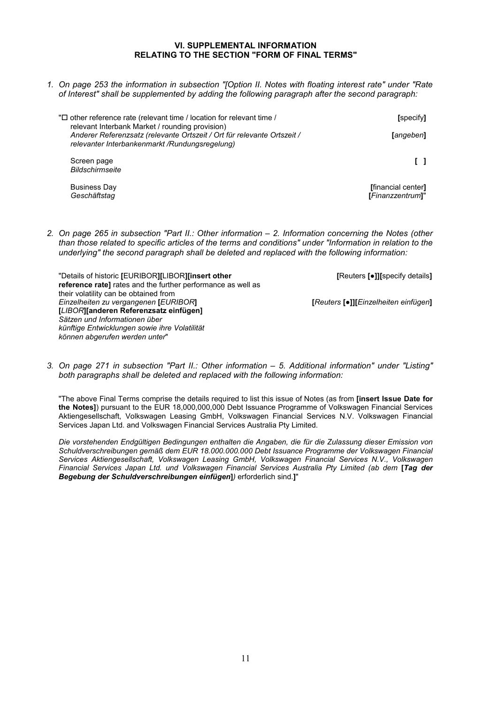## **VI. SUPPLEMENTAL INFORMATION RELATING TO THE SECTION "FORM OF FINAL TERMS"**

*1. On page 253 the information in subsection "[Option II. Notes with floating interest rate" under "Rate of Interest" shall be supplemented by adding the following paragraph after the second paragraph:*

| " $\Box$ other reference rate (relevant time / location for relevant time /                                                                                                   | <b>Specify</b>                         |
|-------------------------------------------------------------------------------------------------------------------------------------------------------------------------------|----------------------------------------|
| relevant Interbank Market / rounding provision)<br>Anderer Referenzsatz (relevante Ortszeit / Ort für relevante Ortszeit /<br>relevanter Interbankenmarkt / Rundungsregelung) | [angeben]                              |
| Screen page<br><b>Bildschirmseite</b>                                                                                                                                         |                                        |
| <b>Business Day</b><br>Geschäftstag                                                                                                                                           | [financial center]<br>[Finanzzentrum]" |

*2. On page 265 in subsection "Part II.: Other information – 2. Information concerning the Notes (other than those related to specific articles of the terms and conditions" under "Information in relation to the underlying" the second paragraph shall be deleted and replaced with the following information:*

"Details of historic **[**EURIBOR**][**LIBOR**][insert other [**Reuters **[***●***]][**specify details**] reference ratel** rates and the further performance as well as their volatility can be obtained from *Einzelheiten zu vergangenen* **[***EURIBOR***] [***Reuters* **[***●***]][***Einzelheiten einfügen***] [***LIBOR***][anderen Referenzsatz einfügen]** *Sätzen und Informationen über künftige Entwicklungen sowie ihre Volatilität können abgerufen werden unter*"

*3. On page 271 in subsection "Part II.: Other information – 5. Additional information" under "Listing" both paragraphs shall be deleted and replaced with the following information:*

"The above Final Terms comprise the details required to list this issue of Notes (as from **[insert Issue Date for the Notes]**) pursuant to the EUR 18,000,000,000 Debt Issuance Programme of Volkswagen Financial Services Aktiengesellschaft, Volkswagen Leasing GmbH, Volkswagen Financial Services N.V. Volkswagen Financial Services Japan Ltd. and Volkswagen Financial Services Australia Pty Limited.

*Die vorstehenden Endgültigen Bedingungen enthalten die Angaben, die für die Zulassung dieser Emission von Schuldverschreibungen gemäß dem EUR 18.000.000.000 Debt Issuance Programme der Volkswagen Financial Services Aktiengesellschaft, Volkswagen Leasing GmbH, Volkswagen Financial Services N.V., Volkswagen Financial Services Japan Ltd. und Volkswagen Financial Services Australia Pty Limited (ab dem* **[***Tag der Begebung der Schuldverschreibungen einfügen***]***)* erforderlich sind.**]**"